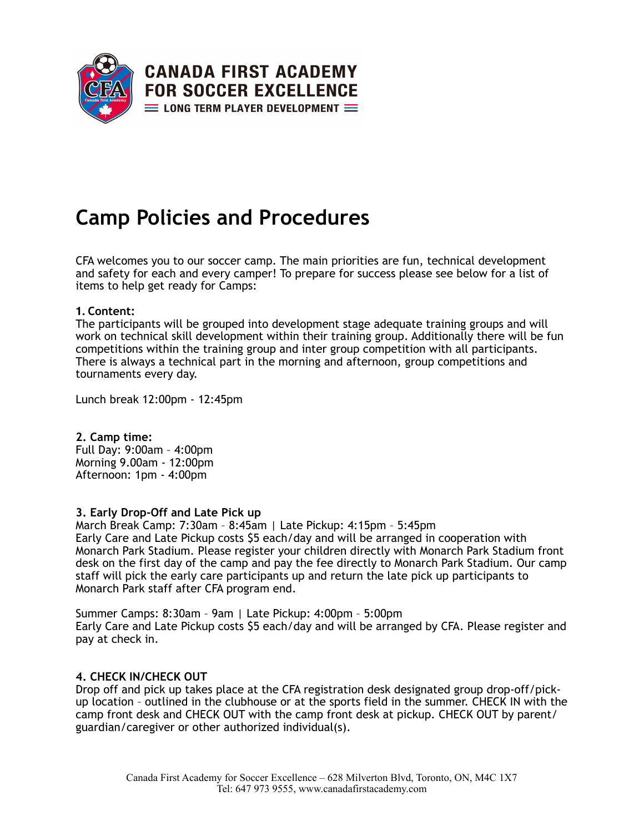

# **Camp Policies and Procedures**

CFA welcomes you to our soccer camp. The main priorities are fun, technical development and safety for each and every camper! To prepare for success please see below for a list of items to help get ready for Camps:

## **1. Content:**

The participants will be grouped into development stage adequate training groups and will work on technical skill development within their training group. Additionally there will be fun competitions within the training group and inter group competition with all participants. There is always a technical part in the morning and afternoon, group competitions and tournaments every day.

Lunch break 12:00pm - 12:45pm

**2. Camp time:**  Full Day: 9:00am – 4:00pm Morning 9.00am - 12:00pm Afternoon: 1pm - 4:00pm

#### **3. Early Drop-Off and Late Pick up**

March Break Camp: 7:30am – 8:45am | Late Pickup: 4:15pm – 5:45pm Early Care and Late Pickup costs \$5 each/day and will be arranged in cooperation with Monarch Park Stadium. Please register your children directly with Monarch Park Stadium front desk on the first day of the camp and pay the fee directly to Monarch Park Stadium. Our camp staff will pick the early care participants up and return the late pick up participants to Monarch Park staff after CFA program end.

Summer Camps: 8:30am – 9am | Late Pickup: 4:00pm – 5:00pm Early Care and Late Pickup costs \$5 each/day and will be arranged by CFA. Please register and pay at check in.

#### **4. CHECK IN/CHECK OUT**

Drop off and pick up takes place at the CFA registration desk designated group drop-off/pickup location – outlined in the clubhouse or at the sports field in the summer. CHECK IN with the camp front desk and CHECK OUT with the camp front desk at pickup. CHECK OUT by parent/ guardian/caregiver or other authorized individual(s).